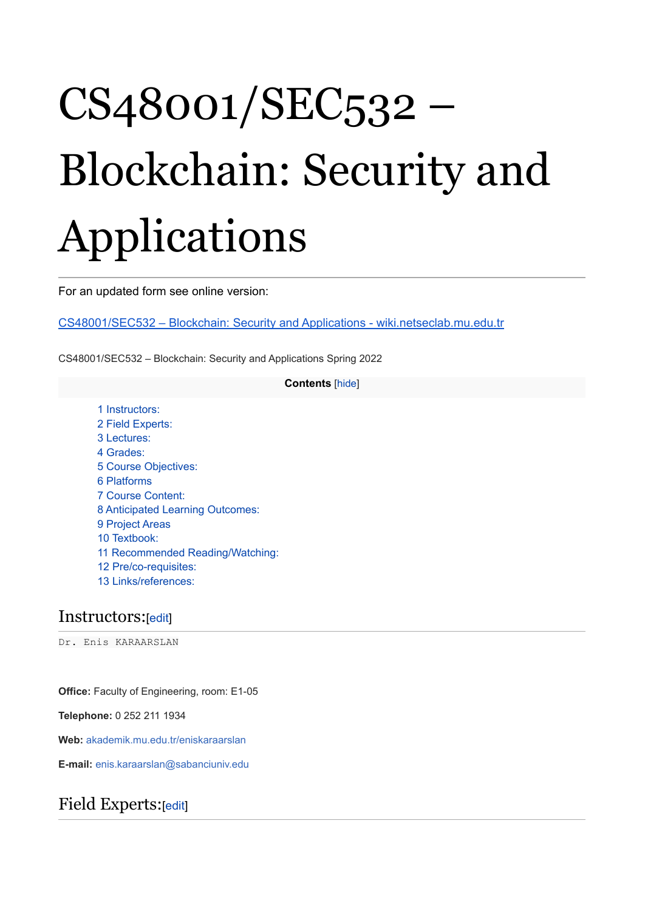# CS48001/SEC532 – Blockchain: Security and Applications

For an updated form see online version:

CS48001/SEC532 – Blockchain: Security and Applications - [wiki.netseclab.mu.edu.tr](http://wiki.netseclab.mu.edu.tr/index.php?title=CS48001/SEC532_%E2%80%93_Blockchain:_Security_and_Applications)

CS48001/SEC532 – Blockchain: Security and Applications Spring 2022

#### **Contents** [[hide\]](http://wiki.netseclab.mu.edu.tr/index.php?title=CS48001/SEC532_%E2%80%93_Blockchain:_Security_and_Applications#)

 [Instructors:](http://wiki.netseclab.mu.edu.tr/index.php?title=CS48001/SEC532_%E2%80%93_Blockchain:_Security_and_Applications#Instructors:) Field [Experts:](http://wiki.netseclab.mu.edu.tr/index.php?title=CS48001/SEC532_%E2%80%93_Blockchain:_Security_and_Applications#Field_Experts:) [Lectures:](http://wiki.netseclab.mu.edu.tr/index.php?title=CS48001/SEC532_%E2%80%93_Blockchain:_Security_and_Applications#Lectures:) 4 [Grades:](http://wiki.netseclab.mu.edu.tr/index.php?title=CS48001/SEC532_%E2%80%93_Blockchain:_Security_and_Applications#Grades:) Course [Objectives:](http://wiki.netseclab.mu.edu.tr/index.php?title=CS48001/SEC532_%E2%80%93_Blockchain:_Security_and_Applications#Course_Objectives:) [Platforms](http://wiki.netseclab.mu.edu.tr/index.php?title=CS48001/SEC532_%E2%80%93_Blockchain:_Security_and_Applications#Platforms) Course [Content:](http://wiki.netseclab.mu.edu.tr/index.php?title=CS48001/SEC532_%E2%80%93_Blockchain:_Security_and_Applications#Course_Content:) [Anticipated](http://wiki.netseclab.mu.edu.tr/index.php?title=CS48001/SEC532_%E2%80%93_Blockchain:_Security_and_Applications#Anticipated_Learning_Outcomes:) Learning Outcomes: [Project](http://wiki.netseclab.mu.edu.tr/index.php?title=CS48001/SEC532_%E2%80%93_Blockchain:_Security_and_Applications#Project_Areas) Areas [Textbook:](http://wiki.netseclab.mu.edu.tr/index.php?title=CS48001/SEC532_%E2%80%93_Blockchain:_Security_and_Applications#Textbook:) Recommended [Reading/Watching:](http://wiki.netseclab.mu.edu.tr/index.php?title=CS48001/SEC532_%E2%80%93_Blockchain:_Security_and_Applications#Recommended_Reading.2FWatching:) [Pre/co-requisites:](http://wiki.netseclab.mu.edu.tr/index.php?title=CS48001/SEC532_%E2%80%93_Blockchain:_Security_and_Applications#Pre.2Fco-requisites:) [Links/references:](http://wiki.netseclab.mu.edu.tr/index.php?title=CS48001/SEC532_%E2%80%93_Blockchain:_Security_and_Applications#Links.2Freferences:)

### Instructors:[\[edit\]](http://wiki.netseclab.mu.edu.tr/index.php?title=CS48001/SEC532_%E2%80%93_Blockchain:_Security_and_Applications&action=edit§ion=1)

Dr. Enis KARAARSLAN

**Office:** Faculty of Engineering, room: E1-05

**Telephone:** 0 252 211 1934

**Web:** [akademik.mu.edu.tr/eniskaraarslan](http://akademik.mu.edu.tr/eniskaraarslan)

**E-mail:** enis.karaarslan@sabanciuniv.edu

### Field Experts:[[edit\]](http://wiki.netseclab.mu.edu.tr/index.php?title=CS48001/SEC532_%E2%80%93_Blockchain:_Security_and_Applications&action=edit§ion=2)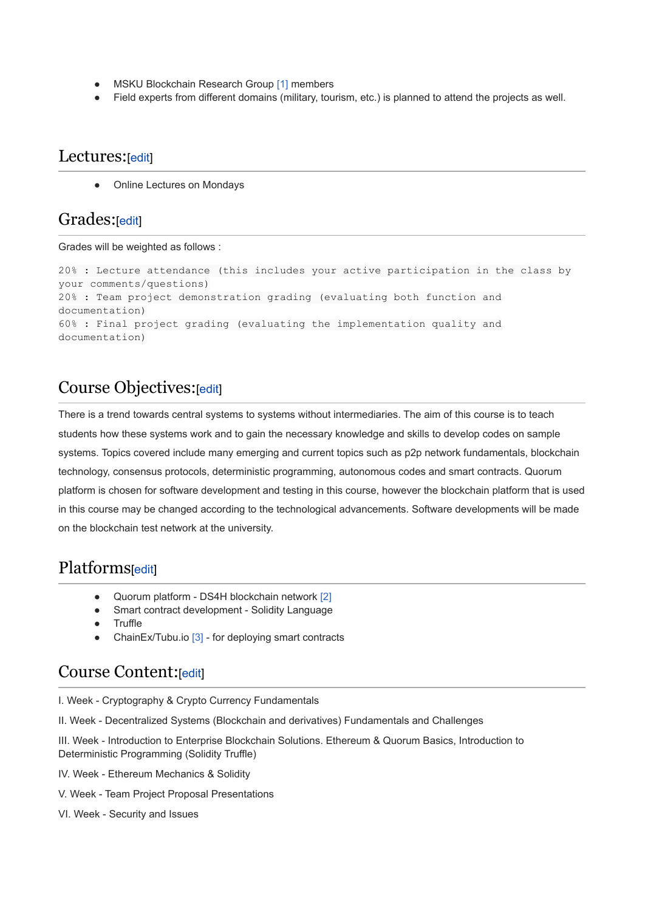- MSKU Blockchain Research Group [\[1\]](http://wiki.netseclab.mu.edu.tr/index.php?title=MSK%C3%9C_Blok_Zinciri_Ara%C5%9Ft%C4%B1rma_Grubu) members
- Field experts from different domains (military, tourism, etc.) is planned to attend the projects as well.

#### Lectures: [[edit](http://wiki.netseclab.mu.edu.tr/index.php?title=CS48001/SEC532_%E2%80%93_Blockchain:_Security_and_Applications&action=edit§ion=3)]

Online Lectures on Mondays

#### Grades:[\[edit](http://wiki.netseclab.mu.edu.tr/index.php?title=CS48001/SEC532_%E2%80%93_Blockchain:_Security_and_Applications&action=edit§ion=4)]

Grades will be weighted as follows :

```
20% : Lecture attendance (this includes your active participation in the class by
your comments/questions)
20% : Team project demonstration grading (evaluating both function and
documentation)
60% : Final project grading (evaluating the implementation quality and
documentation)
```
# Course Objectives:[\[edit](http://wiki.netseclab.mu.edu.tr/index.php?title=CS48001/SEC532_%E2%80%93_Blockchain:_Security_and_Applications&action=edit§ion=5)]

There is a trend towards central systems to systems without intermediaries. The aim of this course is to teach students how these systems work and to gain the necessary knowledge and skills to develop codes on sample systems. Topics covered include many emerging and current topics such as p2p network fundamentals, blockchain technology, consensus protocols, deterministic programming, autonomous codes and smart contracts. Quorum platform is chosen for software development and testing in this course, however the blockchain platform that is used in this course may be changed according to the technological advancements. Software developments will be made on the blockchain test network at the university.

# Platforms[\[edit\]](http://wiki.netseclab.mu.edu.tr/index.php?title=CS48001/SEC532_%E2%80%93_Blockchain:_Security_and_Applications&action=edit§ion=6)

- Quorum platform DS4H blockchain network [\[2\]](http://wiki.netseclab.mu.edu.tr/index.php?title=DS4H)
- Smart contract development Solidity Language
- Truffle
- ChainEx/Tubu.io [\[3\]](https://www.tubu.io/) for deploying smart contracts

### Course Content:[\[edit\]](http://wiki.netseclab.mu.edu.tr/index.php?title=CS48001/SEC532_%E2%80%93_Blockchain:_Security_and_Applications&action=edit§ion=7)

I. Week - Cryptography & Crypto Currency Fundamentals

II. Week - Decentralized Systems (Blockchain and derivatives) Fundamentals and Challenges

III. Week - Introduction to Enterprise Blockchain Solutions. Ethereum & Quorum Basics, Introduction to Deterministic Programming (Solidity Truffle)

- IV. Week Ethereum Mechanics & Solidity
- V. Week Team Project Proposal Presentations
- VI. Week Security and Issues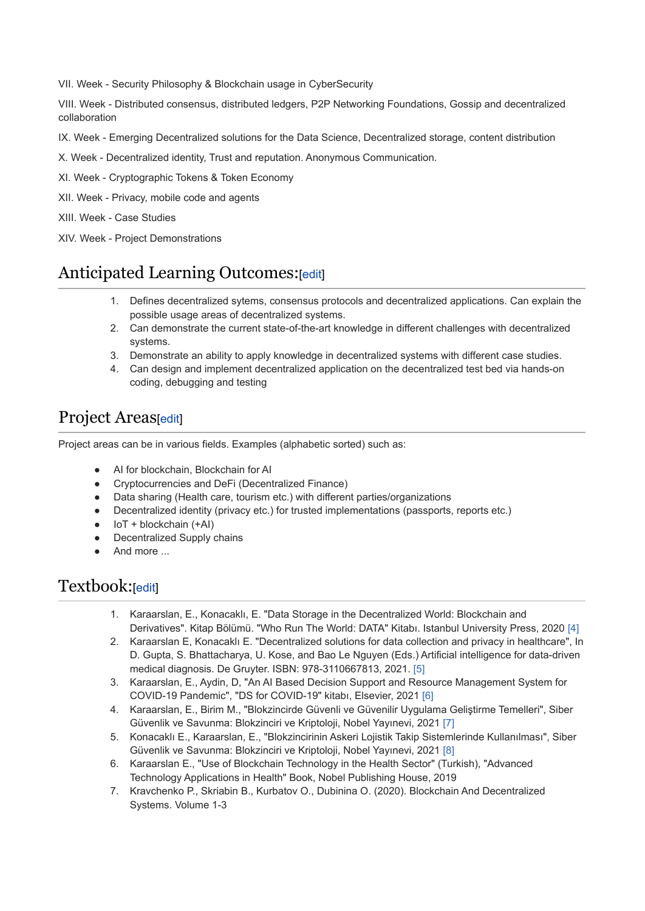VII. Week - Security Philosophy & Blockchain usage in CyberSecurity

VIII. Week - Distributed consensus, distributed ledgers, P2P Networking Foundations, Gossip and decentralized collaboration

- IX. Week Emerging Decentralized solutions for the Data Science, Decentralized storage, content distribution
- X. Week Decentralized identity, Trust and reputation. Anonymous Communication.
- XI. Week Cryptographic Tokens & Token Economy
- XII. Week Privacy, mobile code and agents
- XIII. Week Case Studies
- XIV. Week Project Demonstrations

# Anticipated Learning Outcomes:[\[edit](http://wiki.netseclab.mu.edu.tr/index.php?title=CS48001/SEC532_%E2%80%93_Blockchain:_Security_and_Applications&action=edit§ion=8)]

- 1. Defines decentralized sytems, consensus protocols and decentralized applications. Can explain the possible usage areas of decentralized systems.
- 2. Can demonstrate the current state-of-the-art knowledge in different challenges with decentralized systems.
- 3. Demonstrate an ability to apply knowledge in decentralized systems with different case studies.
- 4. Can design and implement decentralized application on the decentralized test bed via hands-on coding, debugging and testing

# Project Areas[\[edit\]](http://wiki.netseclab.mu.edu.tr/index.php?title=CS48001/SEC532_%E2%80%93_Blockchain:_Security_and_Applications&action=edit§ion=9)

Project areas can be in various fields. Examples (alphabetic sorted) such as:

- AI for blockchain, Blockchain for AI
- Cryptocurrencies and DeFi (Decentralized Finance)
- Data sharing (Health care, tourism etc.) with different parties/organizations
- Decentralized identity (privacy etc.) for trusted implementations (passports, reports etc.)
- $\bullet$  IoT + blockchain  $(+$ AI)
- **Decentralized Supply chains**
- And more ...

### Textbook:[[edit\]](http://wiki.netseclab.mu.edu.tr/index.php?title=CS48001/SEC532_%E2%80%93_Blockchain:_Security_and_Applications&action=edit§ion=10)

- 1. Karaarslan, E., Konacaklı, E. "Data Storage in the Decentralized World: Blockchain and Derivatives". Kitap Bölümü. "Who Run The World: DATA" Kitabı. Istanbul University Press, 2020 [\[4\]](https://www.researchgate.net/publication/347444005_Data_Storage_in_the_Decentralized_World_Blockchain_and_Derivatives)
- 2. Karaarslan E, Konacaklı E. "Decentralized solutions for data collection and privacy in healthcare", In D. Gupta, S. Bhattacharya, U. Kose, and Bao Le Nguyen (Eds.) Artificial intelligence for data-driven medical diagnosis. De Gruyter. ISBN: 978-3110667813, 2021. [\[5\]](https://www.researchgate.net/publication/349208626_8_Decentralized_solutions_for_data_collection_and_privacy_in_healthcare)
- 3. Karaarslan, E., Aydin, D, "An AI Based Decision Support and Resource Management System for COVID-19 Pandemic", "DS for COVID-19" kitabı, Elsevier, 2021 [\[6\]](https://www.ncbi.nlm.nih.gov/pmc/articles/PMC8138119/pdf/main.pdf/?tool=EBI)
- 4. Karaarslan, E., Birim M., "Blokzincirde Güvenli ve Güvenilir Uygulama Geliştirme Temelleri", Siber Güvenlik ve Savunma: Blokzinciri ve Kriptoloji, Nobel Yayınevi, 2021 [\[7\]](https://bilgiguvenligi.org.tr/BGD/Siber_Guvenlik_ve_%20Savunma_Kitap_Serisi_5_Blokzincir%20ve%20Kriptoloji.pdf)
- 5. Konacaklı E., Karaarslan, E., "Blokzincirinin Askeri Lojistik Takip Sistemlerinde Kullanılması", Siber Güvenlik ve Savunma: Blokzinciri ve Kriptoloji, Nobel Yayınevi, 2021 [\[8\]](https://bilgiguvenligi.org.tr/BGD/Siber_Guvenlik_ve_%20Savunma_Kitap_Serisi_5_Blokzincir%20ve%20Kriptoloji.pdf)
- 6. Karaarslan E., "Use of Blockchain Technology in the Health Sector" (Turkish), "Advanced Technology Applications in Health" Book, Nobel Publishing House, 2019
- 7. Kravchenko P., Skriabin B., Kurbatov O., Dubinina O. (2020). Blockchain And Decentralized Systems. Volume 1-3